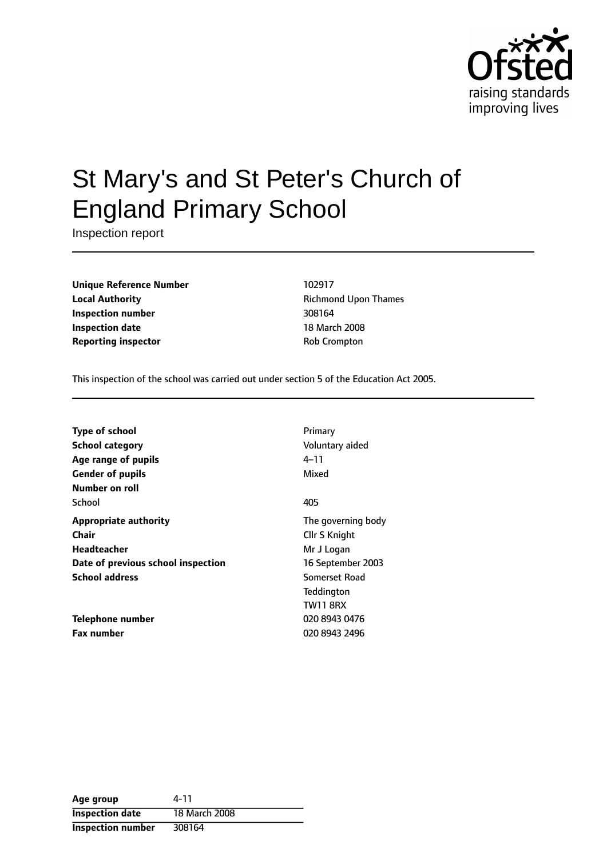

# St Mary's and St Peter's Church of England Primary School

Inspection report

**Unique Reference Number** 102917 **Local Authority Constanting Richmond Upon Thames Inspection number** 308164 **Inspection date** 18 March 2008 **Reporting inspector COVID-COVID-COVID-COVID-COVID-COVID-COVID-COVID-COVID-COVID-COVID-COVID-COVID-COVID-COVID-COVID-COVID-COVID-COVID-COVID-COVID-COVID-COVID-COVID-COVID-COVID-COVID-COVID-COVID-COVID-COVID-COVID-COVID-C** 

This inspection of the school was carried out under section 5 of the Education Act 2005.

| <b>Type of school</b>              | Primary            |
|------------------------------------|--------------------|
| School category                    | Voluntary aided    |
| Age range of pupils                | 4–11               |
| <b>Gender of pupils</b>            | Mixed              |
| Number on roll                     |                    |
| School                             | 405                |
| <b>Appropriate authority</b>       | The governing body |
| Chair                              | Cllr S Knight      |
| Headteacher                        | Mr J Logan         |
| Date of previous school inspection | 16 September 2003  |
| <b>School address</b>              | Somerset Road      |
|                                    | Teddington         |
|                                    | <b>TW11 8RX</b>    |
| Telephone number                   | 020 8943 0476      |
| <b>Fax number</b>                  | 020 8943 2496      |

| Age group                | 4-11          |
|--------------------------|---------------|
| <b>Inspection date</b>   | 18 March 2008 |
| <b>Inspection number</b> | 308164        |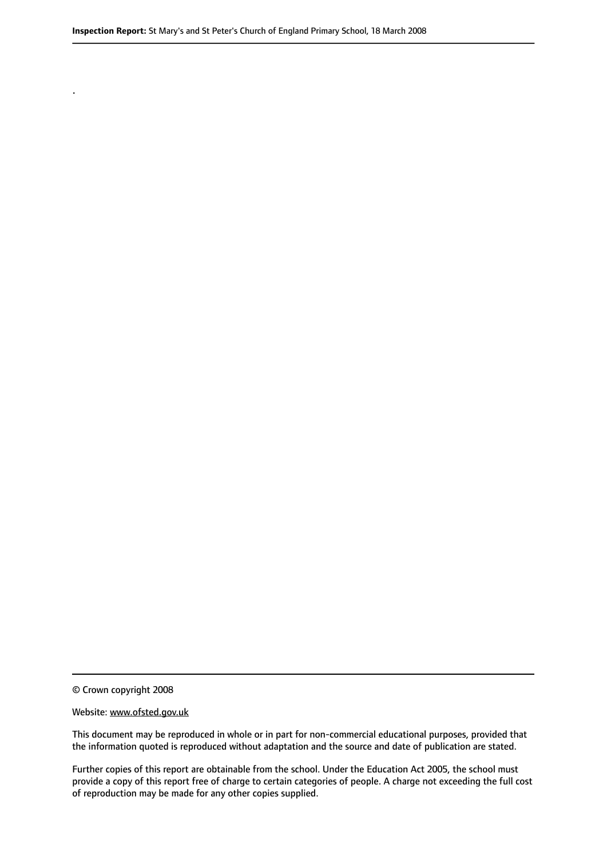© Crown copyright 2008

.

#### Website: www.ofsted.gov.uk

This document may be reproduced in whole or in part for non-commercial educational purposes, provided that the information quoted is reproduced without adaptation and the source and date of publication are stated.

Further copies of this report are obtainable from the school. Under the Education Act 2005, the school must provide a copy of this report free of charge to certain categories of people. A charge not exceeding the full cost of reproduction may be made for any other copies supplied.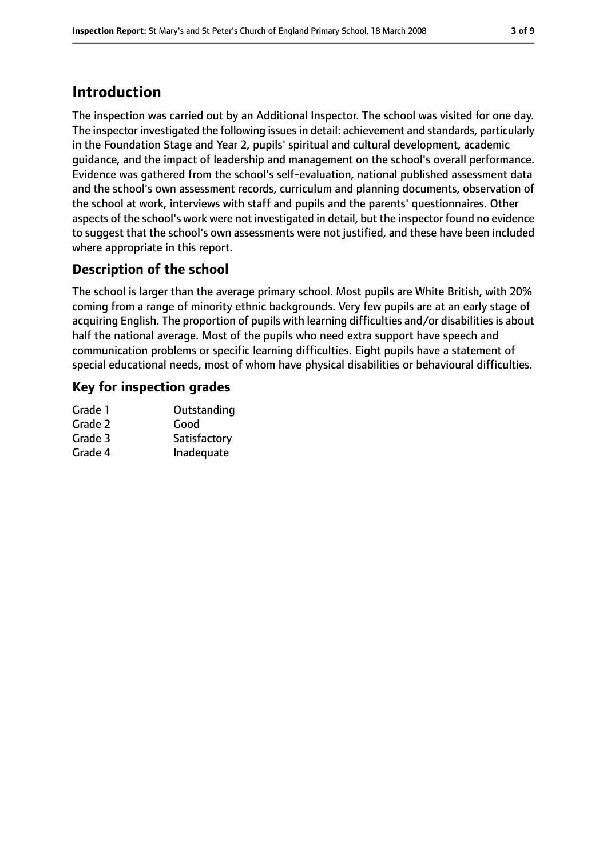# **Introduction**

The inspection was carried out by an Additional Inspector. The school was visited for one day. The inspector investigated the following issuesin detail: achievement and standards, particularly in the Foundation Stage and Year 2, pupils' spiritual and cultural development, academic guidance, and the impact of leadership and management on the school's overall performance. Evidence was gathered from the school's self-evaluation, national published assessment data and the school's own assessment records, curriculum and planning documents, observation of the school at work, interviews with staff and pupils and the parents' questionnaires. Other aspects of the school's work were not investigated in detail, but the inspector found no evidence to suggest that the school's own assessments were not justified, and these have been included where appropriate in this report.

## **Description of the school**

The school is larger than the average primary school. Most pupils are White British, with 20% coming from a range of minority ethnic backgrounds. Very few pupils are at an early stage of acquiring English. The proportion of pupils with learning difficulties and/or disabilitiesis about half the national average. Most of the pupils who need extra support have speech and communication problems or specific learning difficulties. Eight pupils have a statement of special educational needs, most of whom have physical disabilities or behavioural difficulties.

## **Key for inspection grades**

| Grade 1 | Outstanding  |
|---------|--------------|
| Grade 2 | Good         |
| Grade 3 | Satisfactory |
| Grade 4 | Inadequate   |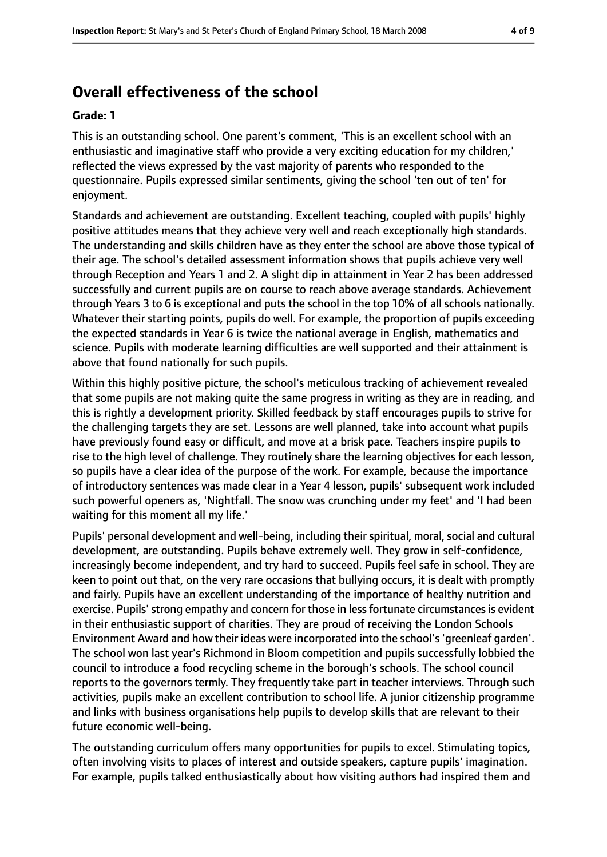# **Overall effectiveness of the school**

#### **Grade: 1**

This is an outstanding school. One parent's comment, 'This is an excellent school with an enthusiastic and imaginative staff who provide a very exciting education for my children,' reflected the views expressed by the vast majority of parents who responded to the questionnaire. Pupils expressed similar sentiments, giving the school 'ten out of ten' for enjoyment.

Standards and achievement are outstanding. Excellent teaching, coupled with pupils' highly positive attitudes means that they achieve very well and reach exceptionally high standards. The understanding and skills children have as they enter the school are above those typical of their age. The school's detailed assessment information shows that pupils achieve very well through Reception and Years 1 and 2. A slight dip in attainment in Year 2 has been addressed successfully and current pupils are on course to reach above average standards. Achievement through Years 3 to 6 is exceptional and puts the school in the top 10% of all schools nationally. Whatever their starting points, pupils do well. For example, the proportion of pupils exceeding the expected standards in Year 6 is twice the national average in English, mathematics and science. Pupils with moderate learning difficulties are well supported and their attainment is above that found nationally for such pupils.

Within this highly positive picture, the school's meticulous tracking of achievement revealed that some pupils are not making quite the same progress in writing as they are in reading, and this is rightly a development priority. Skilled feedback by staff encourages pupils to strive for the challenging targets they are set. Lessons are well planned, take into account what pupils have previously found easy or difficult, and move at a brisk pace. Teachers inspire pupils to rise to the high level of challenge. They routinely share the learning objectives for each lesson, so pupils have a clear idea of the purpose of the work. For example, because the importance of introductory sentences was made clear in a Year 4 lesson, pupils' subsequent work included such powerful openers as, 'Nightfall. The snow was crunching under my feet' and 'I had been waiting for this moment all my life.'

Pupils' personal development and well-being, including their spiritual, moral, social and cultural development, are outstanding. Pupils behave extremely well. They grow in self-confidence, increasingly become independent, and try hard to succeed. Pupils feel safe in school. They are keen to point out that, on the very rare occasions that bullying occurs, it is dealt with promptly and fairly. Pupils have an excellent understanding of the importance of healthy nutrition and exercise. Pupils' strong empathy and concern for those in less fortunate circumstances is evident in their enthusiastic support of charities. They are proud of receiving the London Schools Environment Award and how their ideas were incorporated into the school's'greenleaf garden'. The school won last year's Richmond in Bloom competition and pupils successfully lobbied the council to introduce a food recycling scheme in the borough's schools. The school council reports to the governors termly. They frequently take part in teacher interviews. Through such activities, pupils make an excellent contribution to school life. A junior citizenship programme and links with business organisations help pupils to develop skills that are relevant to their future economic well-being.

The outstanding curriculum offers many opportunities for pupils to excel. Stimulating topics, often involving visits to places of interest and outside speakers, capture pupils' imagination. For example, pupils talked enthusiastically about how visiting authors had inspired them and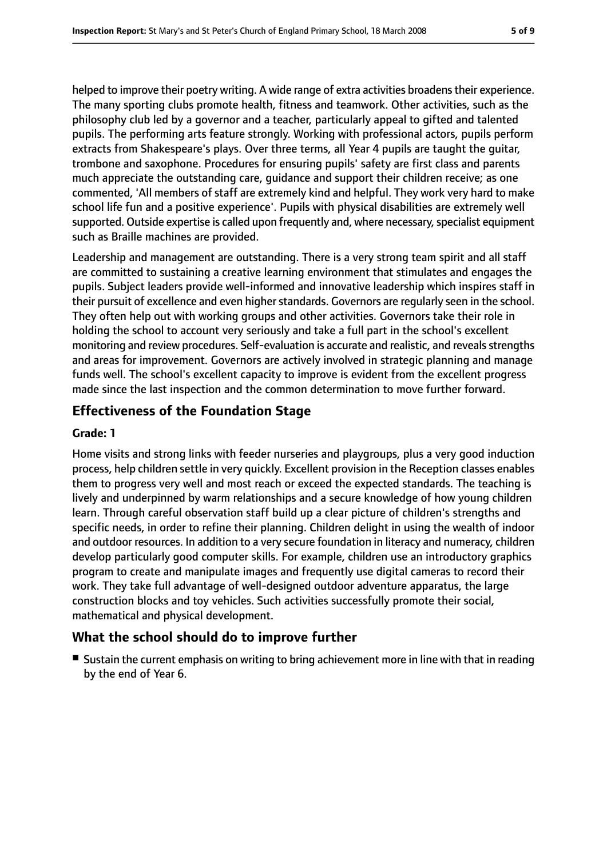helped to improve their poetry writing. A wide range of extra activities broadens their experience. The many sporting clubs promote health, fitness and teamwork. Other activities, such as the philosophy club led by a governor and a teacher, particularly appeal to gifted and talented pupils. The performing arts feature strongly. Working with professional actors, pupils perform extracts from Shakespeare's plays. Over three terms, all Year 4 pupils are taught the guitar, trombone and saxophone. Procedures for ensuring pupils' safety are first class and parents much appreciate the outstanding care, guidance and support their children receive; as one commented, 'All members of staff are extremely kind and helpful. They work very hard to make school life fun and a positive experience'. Pupils with physical disabilities are extremely well supported. Outside expertise is called upon frequently and, where necessary, specialist equipment such as Braille machines are provided.

Leadership and management are outstanding. There is a very strong team spirit and all staff are committed to sustaining a creative learning environment that stimulates and engages the pupils. Subject leaders provide well-informed and innovative leadership which inspires staff in their pursuit of excellence and even higher standards. Governors are regularly seen in the school. They often help out with working groups and other activities. Governors take their role in holding the school to account very seriously and take a full part in the school's excellent monitoring and review procedures. Self-evaluation is accurate and realistic, and reveals strengths and areas for improvement. Governors are actively involved in strategic planning and manage funds well. The school's excellent capacity to improve is evident from the excellent progress made since the last inspection and the common determination to move further forward.

## **Effectiveness of the Foundation Stage**

#### **Grade: 1**

Home visits and strong links with feeder nurseries and playgroups, plus a very good induction process, help children settle in very quickly. Excellent provision in the Reception classes enables them to progress very well and most reach or exceed the expected standards. The teaching is lively and underpinned by warm relationships and a secure knowledge of how young children learn. Through careful observation staff build up a clear picture of children's strengths and specific needs, in order to refine their planning. Children delight in using the wealth of indoor and outdoor resources. In addition to a very secure foundation in literacy and numeracy, children develop particularly good computer skills. For example, children use an introductory graphics program to create and manipulate images and frequently use digital cameras to record their work. They take full advantage of well-designed outdoor adventure apparatus, the large construction blocks and toy vehicles. Such activities successfully promote their social, mathematical and physical development.

## **What the school should do to improve further**

■ Sustain the current emphasis on writing to bring achievement more in line with that in reading by the end of Year 6.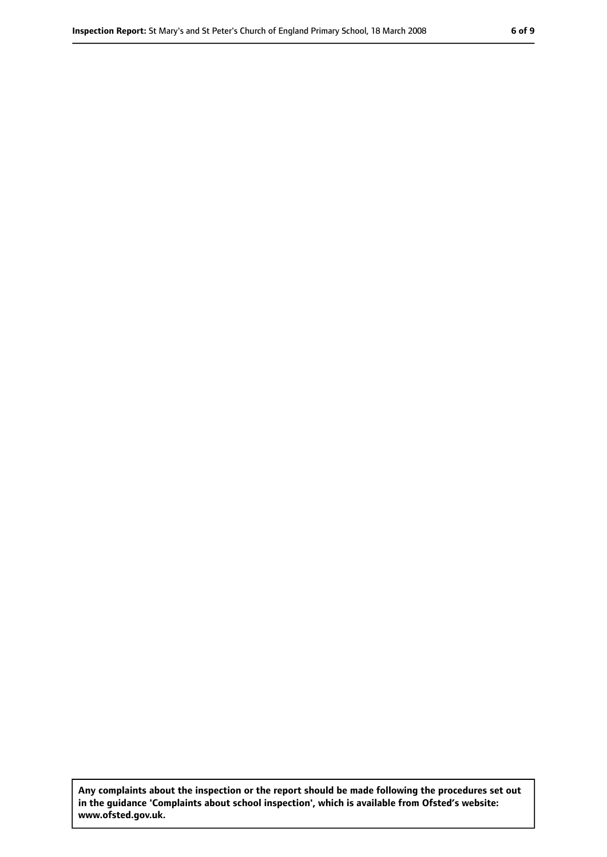**Any complaints about the inspection or the report should be made following the procedures set out in the guidance 'Complaints about school inspection', which is available from Ofsted's website: www.ofsted.gov.uk.**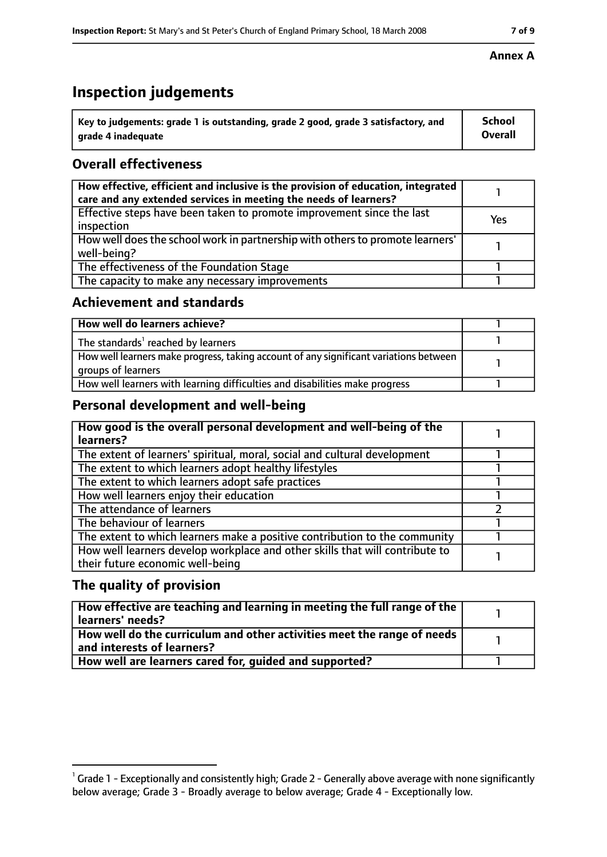# **Inspection judgements**

| $\dot{ }$ Key to judgements: grade 1 is outstanding, grade 2 good, grade 3 satisfactory, and | <b>School</b>  |
|----------------------------------------------------------------------------------------------|----------------|
| arade 4 inadequate                                                                           | <b>Overall</b> |

## **Overall effectiveness**

| How effective, efficient and inclusive is the provision of education, integrated<br>care and any extended services in meeting the needs of learners? |     |
|------------------------------------------------------------------------------------------------------------------------------------------------------|-----|
| Effective steps have been taken to promote improvement since the last<br>inspection                                                                  | Yes |
| How well does the school work in partnership with others to promote learners'<br>well-being?                                                         |     |
| The effectiveness of the Foundation Stage                                                                                                            |     |
| The capacity to make any necessary improvements                                                                                                      |     |

## **Achievement and standards**

| How well do learners achieve?                                                                               |  |
|-------------------------------------------------------------------------------------------------------------|--|
| The standards <sup>1</sup> reached by learners                                                              |  |
| How well learners make progress, taking account of any significant variations between<br>groups of learners |  |
| How well learners with learning difficulties and disabilities make progress                                 |  |

## **Personal development and well-being**

| How good is the overall personal development and well-being of the<br>learners?                                  |  |
|------------------------------------------------------------------------------------------------------------------|--|
| The extent of learners' spiritual, moral, social and cultural development                                        |  |
| The extent to which learners adopt healthy lifestyles                                                            |  |
| The extent to which learners adopt safe practices                                                                |  |
| How well learners enjoy their education                                                                          |  |
| The attendance of learners                                                                                       |  |
| The behaviour of learners                                                                                        |  |
| The extent to which learners make a positive contribution to the community                                       |  |
| How well learners develop workplace and other skills that will contribute to<br>their future economic well-being |  |

## **The quality of provision**

| How effective are teaching and learning in meeting the full range of the<br>learners' needs?          |  |
|-------------------------------------------------------------------------------------------------------|--|
| How well do the curriculum and other activities meet the range of needs<br>and interests of learners? |  |
| How well are learners cared for, quided and supported?                                                |  |

#### **Annex A**

 $^1$  Grade 1 - Exceptionally and consistently high; Grade 2 - Generally above average with none significantly below average; Grade 3 - Broadly average to below average; Grade 4 - Exceptionally low.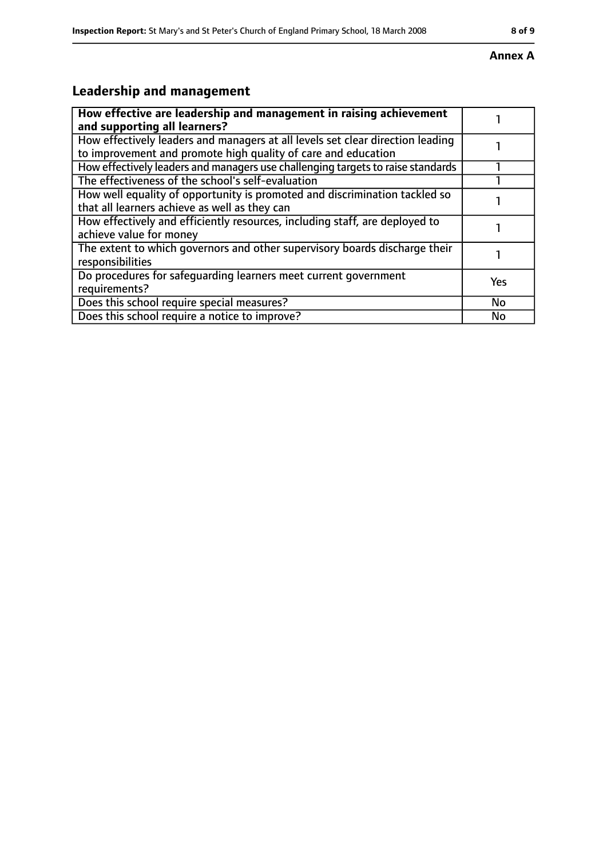#### **Annex A**

# **Leadership and management**

| How effective are leadership and management in raising achievement<br>and supporting all learners?                                              |     |
|-------------------------------------------------------------------------------------------------------------------------------------------------|-----|
| How effectively leaders and managers at all levels set clear direction leading<br>to improvement and promote high quality of care and education |     |
| How effectively leaders and managers use challenging targets to raise standards                                                                 |     |
| The effectiveness of the school's self-evaluation                                                                                               |     |
| How well equality of opportunity is promoted and discrimination tackled so<br>that all learners achieve as well as they can                     |     |
| How effectively and efficiently resources, including staff, are deployed to<br>achieve value for money                                          |     |
| The extent to which governors and other supervisory boards discharge their<br>responsibilities                                                  |     |
| Do procedures for safequarding learners meet current government<br>requirements?                                                                | Yes |
| Does this school require special measures?                                                                                                      | No  |
| Does this school require a notice to improve?                                                                                                   | No  |